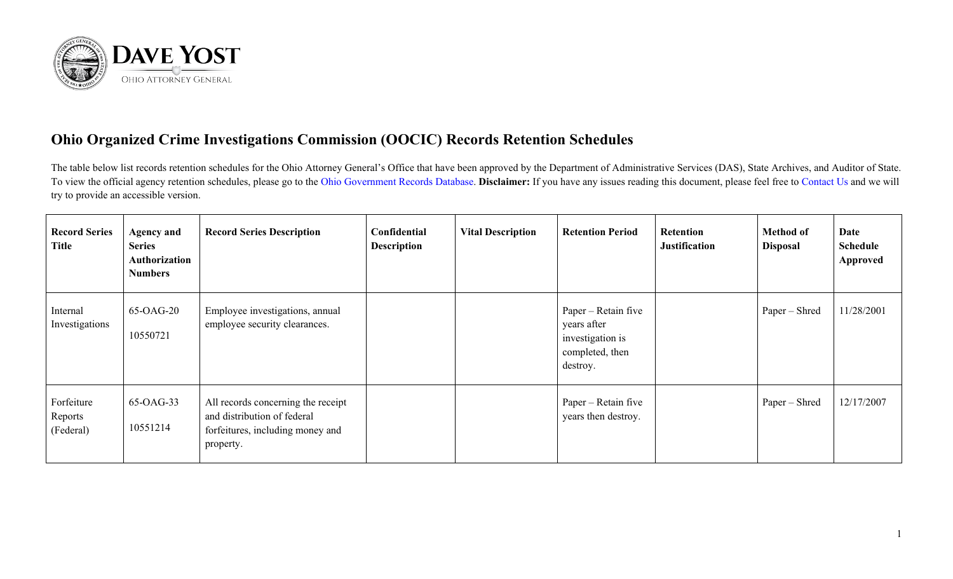

## **Ohio Organized Crime Investigations Commission (OOCIC) Records Retention Schedules**

The table below list records retention schedules for the Ohio Attorney General's Office that have been approved by the Department of Administrative Services (DAS), State Archives, and Auditor of State. To view the official agency retention schedules, please go to the [Ohio Government Records Database.](https://apps.das.ohio.gov/RIMS/GeneralSchedule) **Disclaimer:** If you have any issues reading this document, please feel free to [Contact Us](https://www.ohioattorneygeneral.gov/About-AG/Contact) and we will try to provide an accessible version.

| <b>Record Series</b><br><b>Title</b> | <b>Agency and</b><br><b>Series</b><br>Authorization<br><b>Numbers</b> | <b>Record Series Description</b>                                                                                   | Confidential<br><b>Description</b> | <b>Vital Description</b> | <b>Retention Period</b>                                                               | Retention<br><b>Justification</b> | <b>Method of</b><br><b>Disposal</b> | Date<br><b>Schedule</b><br><b>Approved</b> |
|--------------------------------------|-----------------------------------------------------------------------|--------------------------------------------------------------------------------------------------------------------|------------------------------------|--------------------------|---------------------------------------------------------------------------------------|-----------------------------------|-------------------------------------|--------------------------------------------|
| Internal<br>Investigations           | 65-OAG-20<br>10550721                                                 | Employee investigations, annual<br>employee security clearances.                                                   |                                    |                          | Paper – Retain five<br>years after<br>investigation is<br>completed, then<br>destroy. |                                   | Paper – Shred                       | 11/28/2001                                 |
| Forfeiture<br>Reports<br>(Federal)   | 65-OAG-33<br>10551214                                                 | All records concerning the receipt<br>and distribution of federal<br>forfeitures, including money and<br>property. |                                    |                          | Paper – Retain five<br>years then destroy.                                            |                                   | Paper – Shred                       | 12/17/2007                                 |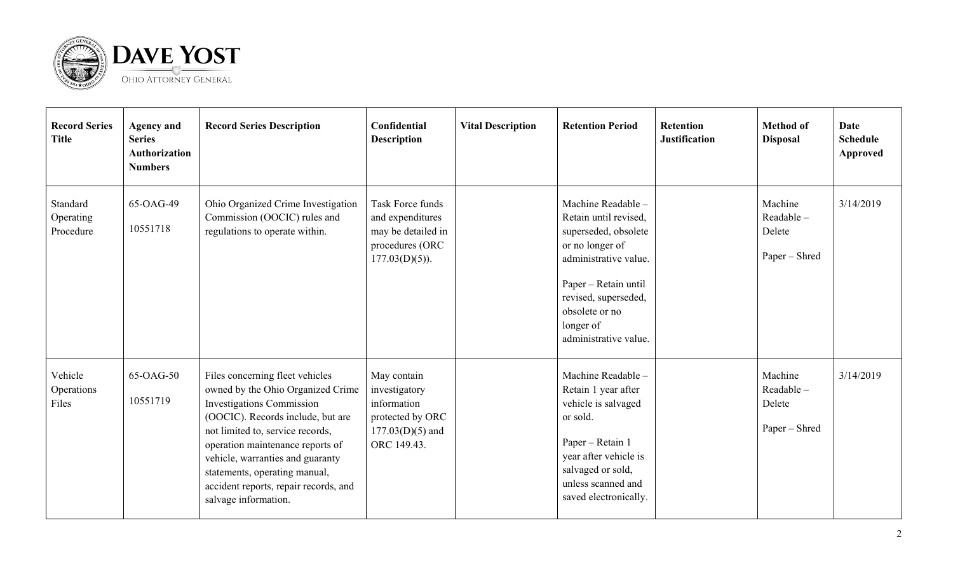

| <b>Record Series</b><br><b>Title</b> | <b>Agency and</b><br><b>Series</b><br><b>Authorization</b><br><b>Numbers</b> | <b>Record Series Description</b>                                                                                                                                                                                                                                                                                                                     | Confidential<br><b>Description</b>                                                                   | <b>Vital Description</b> | <b>Retention Period</b>                                                                                                                                                                                                 | <b>Retention</b><br><b>Justification</b> | <b>Method of</b><br><b>Disposal</b>             | <b>Date</b><br><b>Schedule</b><br>Approved |
|--------------------------------------|------------------------------------------------------------------------------|------------------------------------------------------------------------------------------------------------------------------------------------------------------------------------------------------------------------------------------------------------------------------------------------------------------------------------------------------|------------------------------------------------------------------------------------------------------|--------------------------|-------------------------------------------------------------------------------------------------------------------------------------------------------------------------------------------------------------------------|------------------------------------------|-------------------------------------------------|--------------------------------------------|
| Standard<br>Operating<br>Procedure   | 65-OAG-49<br>10551718                                                        | Ohio Organized Crime Investigation<br>Commission (OOCIC) rules and<br>regulations to operate within.                                                                                                                                                                                                                                                 | Task Force funds<br>and expenditures<br>may be detailed in<br>procedures (ORC<br>$177.03(D)(5)$ ).   |                          | Machine Readable -<br>Retain until revised,<br>superseded, obsolete<br>or no longer of<br>administrative value.<br>Paper - Retain until<br>revised, superseded,<br>obsolete or no<br>longer of<br>administrative value. |                                          | Machine<br>Readable-<br>Delete<br>Paper - Shred | 3/14/2019                                  |
| Vehicle<br>Operations<br>Files       | 65-OAG-50<br>10551719                                                        | Files concerning fleet vehicles<br>owned by the Ohio Organized Crime<br>Investigations Commission<br>(OOCIC). Records include, but are<br>not limited to, service records,<br>operation maintenance reports of<br>vehicle, warranties and guaranty<br>statements, operating manual,<br>accident reports, repair records, and<br>salvage information. | May contain<br>investigatory<br>information<br>protected by ORC<br>$177.03(D)(5)$ and<br>ORC 149.43. |                          | Machine Readable -<br>Retain 1 year after<br>vehicle is salvaged<br>or sold.<br>Paper - Retain 1<br>year after vehicle is<br>salvaged or sold,<br>unless scanned and<br>saved electronically.                           |                                          | Machine<br>Readable-<br>Delete<br>Paper – Shred | 3/14/2019                                  |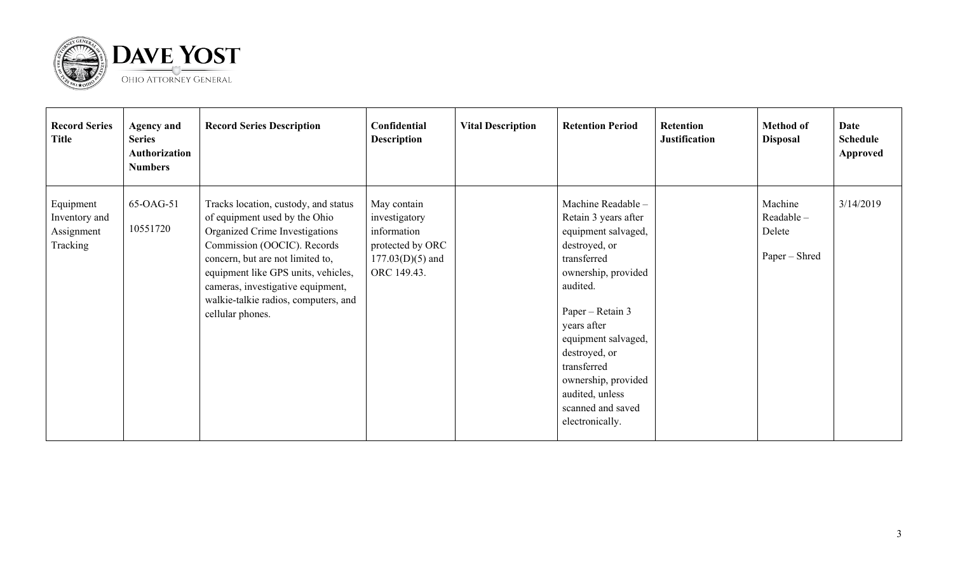

| <b>Record Series</b><br><b>Title</b>                 | <b>Agency and</b><br><b>Series</b><br>Authorization<br><b>Numbers</b> | <b>Record Series Description</b>                                                                                                                                                                                                                                                                                   | Confidential<br><b>Description</b>                                                                   | <b>Vital Description</b> | <b>Retention Period</b>                                                                                                                                                                                                                                                                                          | <b>Retention</b><br><b>Justification</b> | <b>Method of</b><br><b>Disposal</b>             | Date<br><b>Schedule</b><br><b>Approved</b> |
|------------------------------------------------------|-----------------------------------------------------------------------|--------------------------------------------------------------------------------------------------------------------------------------------------------------------------------------------------------------------------------------------------------------------------------------------------------------------|------------------------------------------------------------------------------------------------------|--------------------------|------------------------------------------------------------------------------------------------------------------------------------------------------------------------------------------------------------------------------------------------------------------------------------------------------------------|------------------------------------------|-------------------------------------------------|--------------------------------------------|
| Equipment<br>Inventory and<br>Assignment<br>Tracking | 65-OAG-51<br>10551720                                                 | Tracks location, custody, and status<br>of equipment used by the Ohio<br>Organized Crime Investigations<br>Commission (OOCIC). Records<br>concern, but are not limited to,<br>equipment like GPS units, vehicles,<br>cameras, investigative equipment,<br>walkie-talkie radios, computers, and<br>cellular phones. | May contain<br>investigatory<br>information<br>protected by ORC<br>$177.03(D)(5)$ and<br>ORC 149.43. |                          | Machine Readable -<br>Retain 3 years after<br>equipment salvaged,<br>destroyed, or<br>transferred<br>ownership, provided<br>audited.<br>Paper – Retain 3<br>years after<br>equipment salvaged,<br>destroyed, or<br>transferred<br>ownership, provided<br>audited, unless<br>scanned and saved<br>electronically. |                                          | Machine<br>Readable-<br>Delete<br>Paper – Shred | 3/14/2019                                  |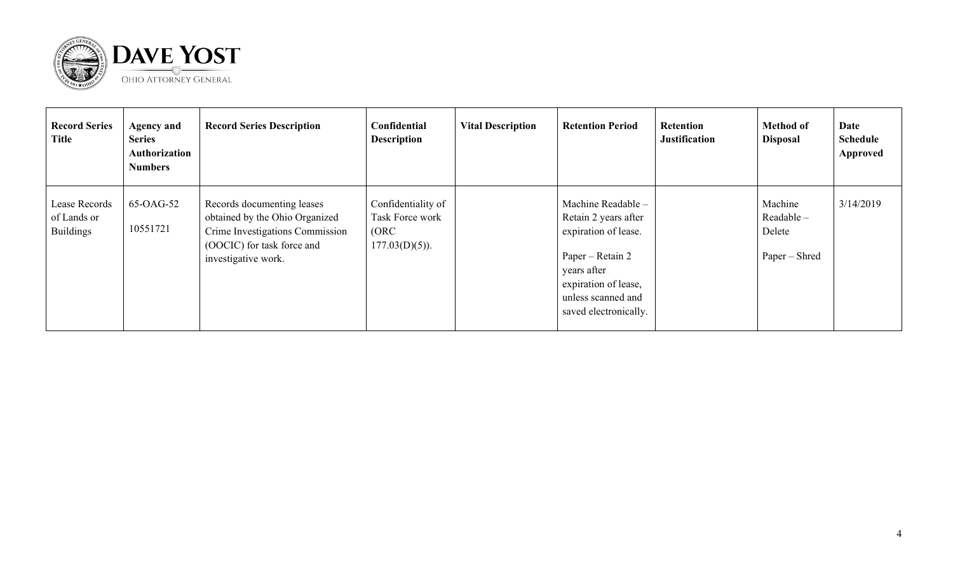

| <b>Record Series</b><br><b>Title</b>             | <b>Agency and</b><br><b>Series</b><br>Authorization<br><b>Numbers</b> | <b>Record Series Description</b>                                                                                                                     | Confidential<br><b>Description</b>                                  | <b>Vital Description</b> | <b>Retention Period</b>                                                                                                                                                      | <b>Retention</b><br><b>Justification</b> | <b>Method of</b><br><b>Disposal</b>             | Date<br><b>Schedule</b><br>Approved |
|--------------------------------------------------|-----------------------------------------------------------------------|------------------------------------------------------------------------------------------------------------------------------------------------------|---------------------------------------------------------------------|--------------------------|------------------------------------------------------------------------------------------------------------------------------------------------------------------------------|------------------------------------------|-------------------------------------------------|-------------------------------------|
| Lease Records<br>of Lands or<br><b>Buildings</b> | 65-OAG-52<br>10551721                                                 | Records documenting leases<br>obtained by the Ohio Organized<br>Crime Investigations Commission<br>(OOCIC) for task force and<br>investigative work. | Confidentiality of<br>Task Force work<br>(ORC)<br>$177.03(D)(5)$ ). |                          | Machine Readable -<br>Retain 2 years after<br>expiration of lease.<br>Paper – Retain 2<br>years after<br>expiration of lease,<br>unless scanned and<br>saved electronically. |                                          | Machine<br>Readable-<br>Delete<br>Paper – Shred | 3/14/2019                           |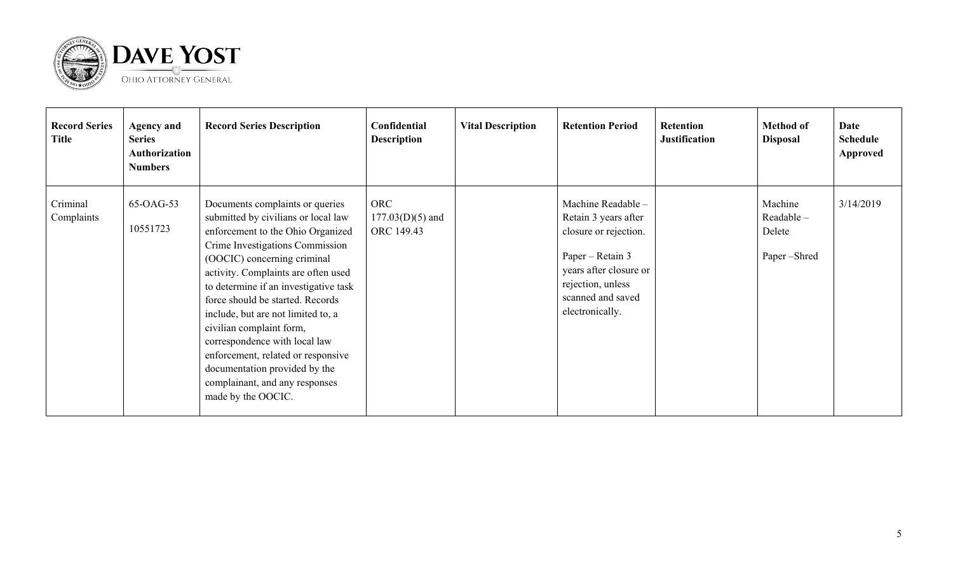

| <b>Record Series</b><br>Title | <b>Agency and</b><br><b>Series</b><br>Authorization<br><b>Numbers</b> | <b>Record Series Description</b>                                                                                                                                                                                                                                                                                                                                                                                                                                                                                                    | Confidential<br><b>Description</b>             | <b>Vital Description</b> | <b>Retention Period</b>                                                                                                                                                        | <b>Retention</b><br><b>Justification</b> | <b>Method of</b><br><b>Disposal</b>           | Date<br><b>Schedule</b><br>Approved |
|-------------------------------|-----------------------------------------------------------------------|-------------------------------------------------------------------------------------------------------------------------------------------------------------------------------------------------------------------------------------------------------------------------------------------------------------------------------------------------------------------------------------------------------------------------------------------------------------------------------------------------------------------------------------|------------------------------------------------|--------------------------|--------------------------------------------------------------------------------------------------------------------------------------------------------------------------------|------------------------------------------|-----------------------------------------------|-------------------------------------|
| Criminal<br>Complaints        | 65-OAG-53<br>10551723                                                 | Documents complaints or queries<br>submitted by civilians or local law<br>enforcement to the Ohio Organized<br>Crime Investigations Commission<br>(OOCIC) concerning criminal<br>activity. Complaints are often used<br>to determine if an investigative task<br>force should be started. Records<br>include, but are not limited to, a<br>civilian complaint form,<br>correspondence with local law<br>enforcement, related or responsive<br>documentation provided by the<br>complainant, and any responses<br>made by the OOCIC. | <b>ORC</b><br>$177.03(D)(5)$ and<br>ORC 149.43 |                          | Machine Readable -<br>Retain 3 years after<br>closure or rejection.<br>Paper – Retain 3<br>years after closure or<br>rejection, unless<br>scanned and saved<br>electronically. |                                          | Machine<br>Readable-<br>Delete<br>Paper-Shred | 3/14/2019                           |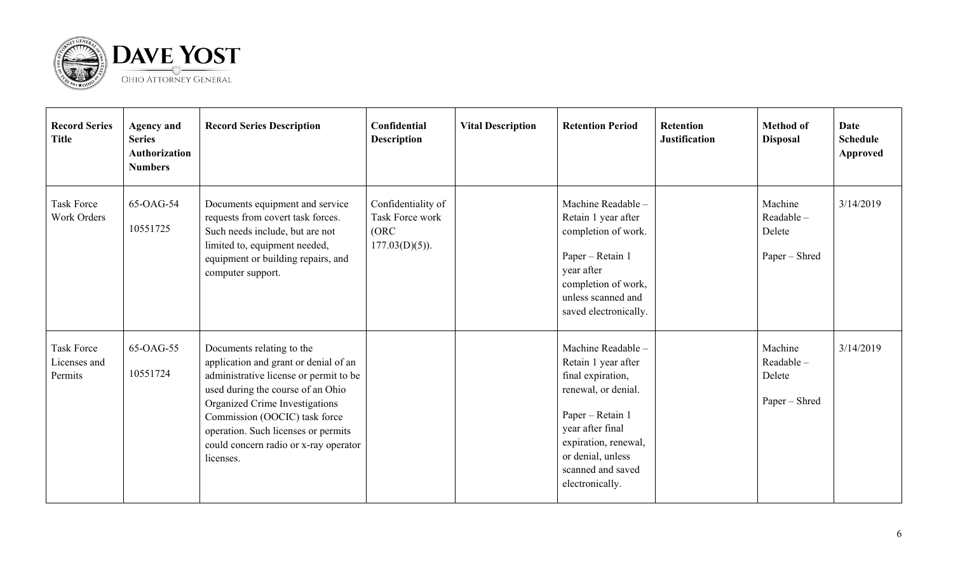

| <b>Record Series</b><br><b>Title</b>         | <b>Agency and</b><br><b>Series</b><br><b>Authorization</b><br><b>Numbers</b> | <b>Record Series Description</b>                                                                                                                                                                                                                                                                                  | Confidential<br><b>Description</b>                                         | <b>Vital Description</b> | <b>Retention Period</b>                                                                                                                                                                                            | <b>Retention</b><br><b>Justification</b> | <b>Method of</b><br><b>Disposal</b>                | <b>Date</b><br><b>Schedule</b><br><b>Approved</b> |
|----------------------------------------------|------------------------------------------------------------------------------|-------------------------------------------------------------------------------------------------------------------------------------------------------------------------------------------------------------------------------------------------------------------------------------------------------------------|----------------------------------------------------------------------------|--------------------------|--------------------------------------------------------------------------------------------------------------------------------------------------------------------------------------------------------------------|------------------------------------------|----------------------------------------------------|---------------------------------------------------|
| Task Force<br><b>Work Orders</b>             | 65-OAG-54<br>10551725                                                        | Documents equipment and service<br>requests from covert task forces.<br>Such needs include, but are not<br>limited to, equipment needed,<br>equipment or building repairs, and<br>computer support.                                                                                                               | Confidentiality of<br><b>Task Force work</b><br>(ORC)<br>$177.03(D)(5)$ ). |                          | Machine Readable -<br>Retain 1 year after<br>completion of work.<br>Paper - Retain 1<br>year after<br>completion of work,<br>unless scanned and<br>saved electronically.                                           |                                          | Machine<br>Readable-<br>Delete<br>Paper - Shred    | 3/14/2019                                         |
| <b>Task Force</b><br>Licenses and<br>Permits | 65-OAG-55<br>10551724                                                        | Documents relating to the<br>application and grant or denial of an<br>administrative license or permit to be<br>used during the course of an Ohio<br>Organized Crime Investigations<br>Commission (OOCIC) task force<br>operation. Such licenses or permits<br>could concern radio or x-ray operator<br>licenses. |                                                                            |                          | Machine Readable -<br>Retain 1 year after<br>final expiration,<br>renewal, or denial.<br>Paper - Retain 1<br>year after final<br>expiration, renewal,<br>or denial, unless<br>scanned and saved<br>electronically. |                                          | Machine<br>$Readable -$<br>Delete<br>Paper - Shred | 3/14/2019                                         |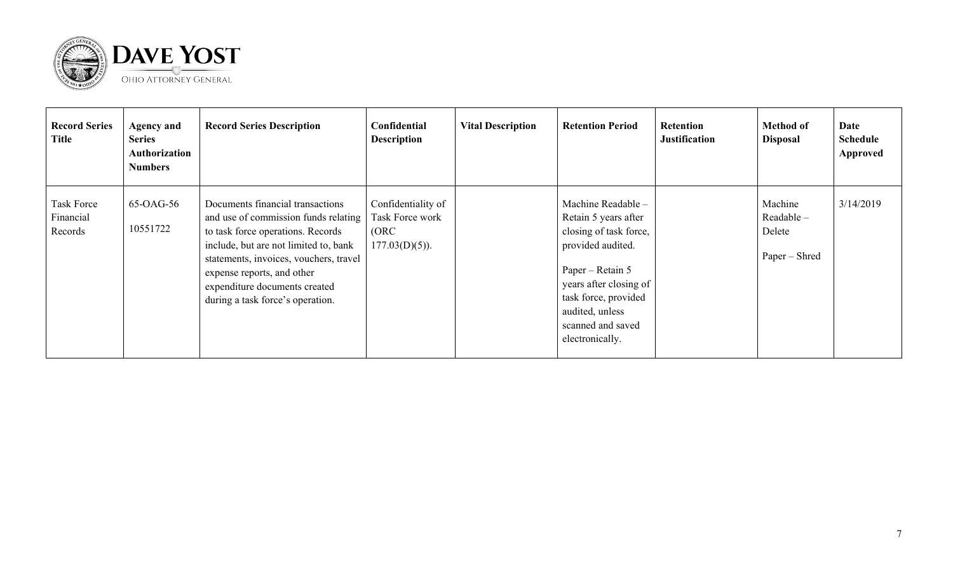

| <b>Record Series</b><br><b>Title</b> | <b>Agency and</b><br><b>Series</b><br>Authorization<br><b>Numbers</b> | <b>Record Series Description</b>                                                                                                                                                                                                                                                                    | Confidential<br><b>Description</b>                                  | <b>Vital Description</b> | <b>Retention Period</b>                                                                                                                                                                                                    | <b>Retention</b><br><b>Justification</b> | <b>Method of</b><br><b>Disposal</b>             | Date<br><b>Schedule</b><br>Approved |
|--------------------------------------|-----------------------------------------------------------------------|-----------------------------------------------------------------------------------------------------------------------------------------------------------------------------------------------------------------------------------------------------------------------------------------------------|---------------------------------------------------------------------|--------------------------|----------------------------------------------------------------------------------------------------------------------------------------------------------------------------------------------------------------------------|------------------------------------------|-------------------------------------------------|-------------------------------------|
| Task Force<br>Financial<br>Records   | 65-OAG-56<br>10551722                                                 | Documents financial transactions<br>and use of commission funds relating<br>to task force operations. Records<br>include, but are not limited to, bank<br>statements, invoices, vouchers, travel<br>expense reports, and other<br>expenditure documents created<br>during a task force's operation. | Confidentiality of<br>Task Force work<br>(ORC)<br>$177.03(D)(5)$ ). |                          | Machine Readable -<br>Retain 5 years after<br>closing of task force,<br>provided audited.<br>Paper – Retain 5<br>years after closing of<br>task force, provided<br>audited, unless<br>scanned and saved<br>electronically. |                                          | Machine<br>Readable-<br>Delete<br>Paper – Shred | 3/14/2019                           |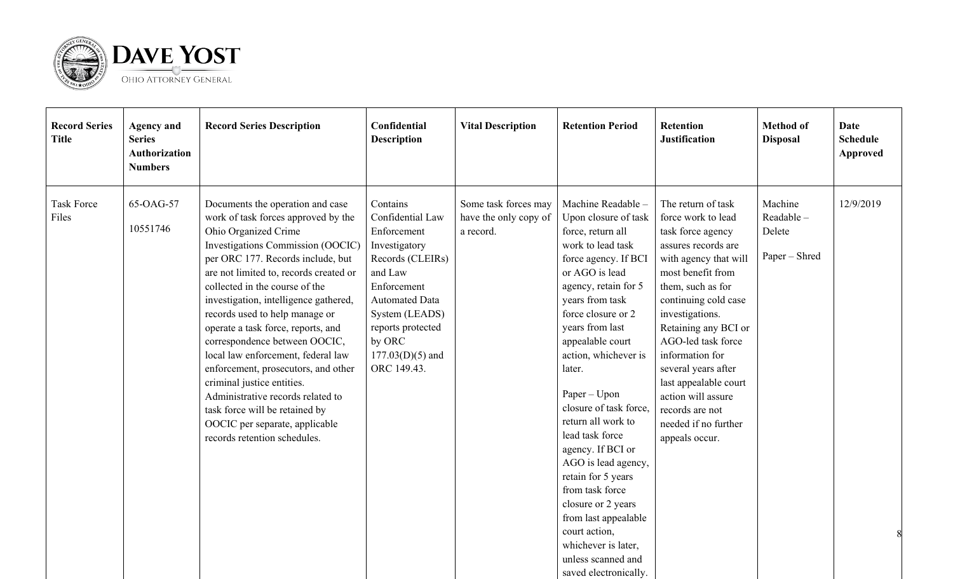

| <b>Record Series</b><br><b>Title</b> | <b>Agency and</b><br><b>Series</b><br>Authorization<br><b>Numbers</b> | <b>Record Series Description</b>                                                                                                                                                                                                                                                                                                                                                                                                                                                                                                                                                                                                                            | Confidential<br><b>Description</b>                                                                                                                                                                                        | <b>Vital Description</b>                                   | <b>Retention Period</b>                                                                                                                                                                                                                                                                                                                                                                                                                                                                                                                                                               | <b>Retention</b><br><b>Justification</b>                                                                                                                                                                                                                                                                                                                                                               | <b>Method of</b><br><b>Disposal</b>             | <b>Date</b><br><b>Schedule</b><br>Approved |
|--------------------------------------|-----------------------------------------------------------------------|-------------------------------------------------------------------------------------------------------------------------------------------------------------------------------------------------------------------------------------------------------------------------------------------------------------------------------------------------------------------------------------------------------------------------------------------------------------------------------------------------------------------------------------------------------------------------------------------------------------------------------------------------------------|---------------------------------------------------------------------------------------------------------------------------------------------------------------------------------------------------------------------------|------------------------------------------------------------|---------------------------------------------------------------------------------------------------------------------------------------------------------------------------------------------------------------------------------------------------------------------------------------------------------------------------------------------------------------------------------------------------------------------------------------------------------------------------------------------------------------------------------------------------------------------------------------|--------------------------------------------------------------------------------------------------------------------------------------------------------------------------------------------------------------------------------------------------------------------------------------------------------------------------------------------------------------------------------------------------------|-------------------------------------------------|--------------------------------------------|
| <b>Task Force</b><br>Files           | 65-OAG-57<br>10551746                                                 | Documents the operation and case<br>work of task forces approved by the<br>Ohio Organized Crime<br>Investigations Commission (OOCIC)<br>per ORC 177. Records include, but<br>are not limited to, records created or<br>collected in the course of the<br>investigation, intelligence gathered,<br>records used to help manage or<br>operate a task force, reports, and<br>correspondence between OOCIC,<br>local law enforcement, federal law<br>enforcement, prosecutors, and other<br>criminal justice entities.<br>Administrative records related to<br>task force will be retained by<br>OOCIC per separate, applicable<br>records retention schedules. | Contains<br>Confidential Law<br>Enforcement<br>Investigatory<br>Records (CLEIRs)<br>and Law<br>Enforcement<br><b>Automated Data</b><br>System (LEADS)<br>reports protected<br>by ORC<br>$177.03(D)(5)$ and<br>ORC 149.43. | Some task forces may<br>have the only copy of<br>a record. | Machine Readable -<br>Upon closure of task<br>force, return all<br>work to lead task<br>force agency. If BCI<br>or AGO is lead<br>agency, retain for 5<br>years from task<br>force closure or 2<br>years from last<br>appealable court<br>action, whichever is<br>later.<br>Paper - Upon<br>closure of task force,<br>return all work to<br>lead task force<br>agency. If BCI or<br>AGO is lead agency,<br>retain for 5 years<br>from task force<br>closure or 2 years<br>from last appealable<br>court action,<br>whichever is later,<br>unless scanned and<br>saved electronically. | The return of task<br>force work to lead<br>task force agency<br>assures records are<br>with agency that will<br>most benefit from<br>them, such as for<br>continuing cold case<br>investigations.<br>Retaining any BCI or<br>AGO-led task force<br>information for<br>several years after<br>last appealable court<br>action will assure<br>records are not<br>needed if no further<br>appeals occur. | Machine<br>Readable-<br>Delete<br>Paper – Shred | 12/9/2019                                  |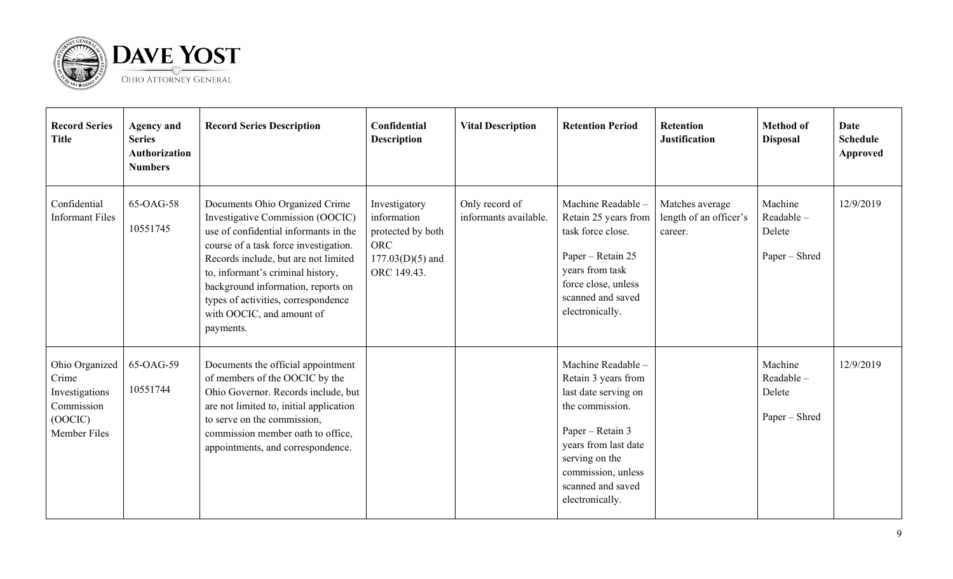

| <b>Record Series</b><br><b>Title</b>                                               | <b>Agency and</b><br><b>Series</b><br><b>Authorization</b><br><b>Numbers</b> | <b>Record Series Description</b>                                                                                                                                                                                                                                                                                                                         | Confidential<br><b>Description</b>                                                                   | <b>Vital Description</b>                | <b>Retention Period</b>                                                                                                                                                                                          | <b>Retention</b><br><b>Justification</b>             | <b>Method of</b><br><b>Disposal</b>                | <b>Date</b><br><b>Schedule</b><br><b>Approved</b> |
|------------------------------------------------------------------------------------|------------------------------------------------------------------------------|----------------------------------------------------------------------------------------------------------------------------------------------------------------------------------------------------------------------------------------------------------------------------------------------------------------------------------------------------------|------------------------------------------------------------------------------------------------------|-----------------------------------------|------------------------------------------------------------------------------------------------------------------------------------------------------------------------------------------------------------------|------------------------------------------------------|----------------------------------------------------|---------------------------------------------------|
| Confidential<br><b>Informant Files</b>                                             | 65-OAG-58<br>10551745                                                        | Documents Ohio Organized Crime<br>Investigative Commission (OOCIC)<br>use of confidential informants in the<br>course of a task force investigation.<br>Records include, but are not limited<br>to, informant's criminal history,<br>background information, reports on<br>types of activities, correspondence<br>with OOCIC, and amount of<br>payments. | Investigatory<br>information<br>protected by both<br><b>ORC</b><br>$177.03(D)(5)$ and<br>ORC 149.43. | Only record of<br>informants available. | Machine Readable -<br>Retain 25 years from<br>task force close.<br>Paper - Retain 25<br>years from task<br>force close, unless<br>scanned and saved<br>electronically.                                           | Matches average<br>length of an officer's<br>career. | Machine<br>Readable-<br>Delete<br>Paper - Shred    | 12/9/2019                                         |
| Ohio Organized<br>Crime<br>Investigations<br>Commission<br>(OOCIC)<br>Member Files | 65-OAG-59<br>10551744                                                        | Documents the official appointment<br>of members of the OOCIC by the<br>Ohio Governor. Records include, but<br>are not limited to, initial application<br>to serve on the commission,<br>commission member oath to office,<br>appointments, and correspondence.                                                                                          |                                                                                                      |                                         | Machine Readable -<br>Retain 3 years from<br>last date serving on<br>the commission.<br>Paper - Retain 3<br>years from last date<br>serving on the<br>commission, unless<br>scanned and saved<br>electronically. |                                                      | Machine<br>$Readable -$<br>Delete<br>Paper - Shred | 12/9/2019                                         |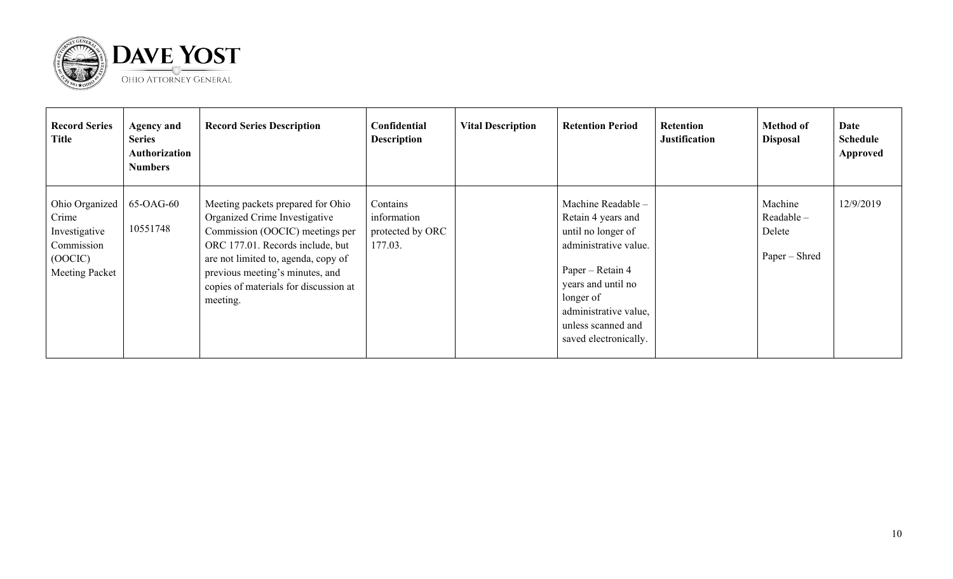

| <b>Record Series</b><br><b>Title</b>                                                       | <b>Agency and</b><br><b>Series</b><br>Authorization<br><b>Numbers</b> | <b>Record Series Description</b>                                                                                                                                                                                                                                         | Confidential<br><b>Description</b>                     | <b>Vital Description</b> | <b>Retention Period</b>                                                                                                                                                                                                | <b>Retention</b><br><b>Justification</b> | <b>Method of</b><br><b>Disposal</b>                | Date<br><b>Schedule</b><br>Approved |
|--------------------------------------------------------------------------------------------|-----------------------------------------------------------------------|--------------------------------------------------------------------------------------------------------------------------------------------------------------------------------------------------------------------------------------------------------------------------|--------------------------------------------------------|--------------------------|------------------------------------------------------------------------------------------------------------------------------------------------------------------------------------------------------------------------|------------------------------------------|----------------------------------------------------|-------------------------------------|
| Ohio Organized<br>Crime<br>Investigative<br>Commission<br>(OOCIC)<br><b>Meeting Packet</b> | 65-OAG-60<br>10551748                                                 | Meeting packets prepared for Ohio<br>Organized Crime Investigative<br>Commission (OOCIC) meetings per<br>ORC 177.01. Records include, but<br>are not limited to, agenda, copy of<br>previous meeting's minutes, and<br>copies of materials for discussion at<br>meeting. | Contains<br>information<br>protected by ORC<br>177.03. |                          | Machine Readable -<br>Retain 4 years and<br>until no longer of<br>administrative value.<br>Paper – Retain 4<br>years and until no<br>longer of<br>administrative value,<br>unless scanned and<br>saved electronically. |                                          | Machine<br>$Readable -$<br>Delete<br>Paper – Shred | 12/9/2019                           |